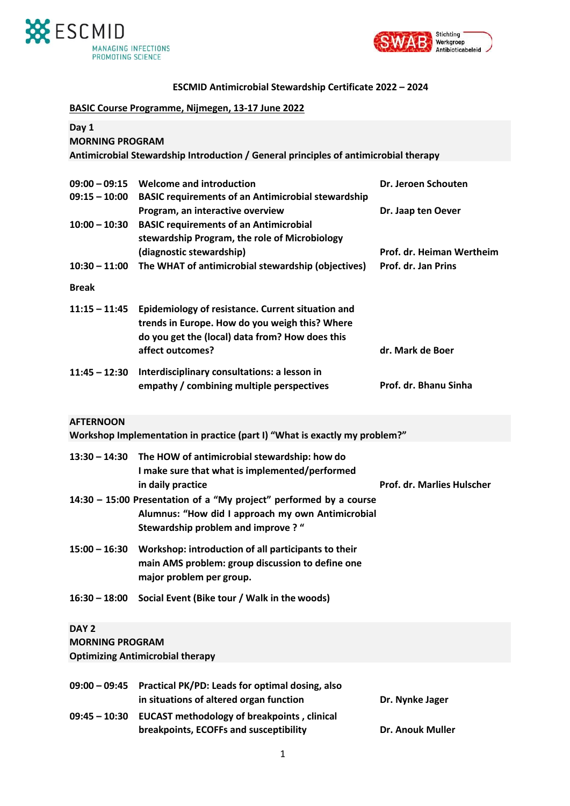



## **ESCMID Antimicrobial Stewardship Certificate 2022 – 2024**

| <b>BASIC Course Programme, Nijmegen, 13-17 June 2022</b> |                                                                                      |                                   |  |  |
|----------------------------------------------------------|--------------------------------------------------------------------------------------|-----------------------------------|--|--|
| Day 1<br><b>MORNING PROGRAM</b>                          |                                                                                      |                                   |  |  |
|                                                          | Antimicrobial Stewardship Introduction / General principles of antimicrobial therapy |                                   |  |  |
|                                                          |                                                                                      |                                   |  |  |
| $09:00 - 09:15$                                          | <b>Welcome and introduction</b>                                                      | Dr. Jeroen Schouten               |  |  |
| $09:15 - 10:00$                                          | <b>BASIC requirements of an Antimicrobial stewardship</b>                            |                                   |  |  |
|                                                          | Program, an interactive overview                                                     | Dr. Jaap ten Oever                |  |  |
| $10:00 - 10:30$                                          | <b>BASIC requirements of an Antimicrobial</b>                                        |                                   |  |  |
|                                                          | stewardship Program, the role of Microbiology                                        |                                   |  |  |
|                                                          | (diagnostic stewardship)                                                             | Prof. dr. Heiman Wertheim         |  |  |
| $10:30 - 11:00$                                          | The WHAT of antimicrobial stewardship (objectives)                                   | Prof. dr. Jan Prins               |  |  |
| <b>Break</b>                                             |                                                                                      |                                   |  |  |
| $11:15 - 11:45$                                          | Epidemiology of resistance. Current situation and                                    |                                   |  |  |
|                                                          | trends in Europe. How do you weigh this? Where                                       |                                   |  |  |
|                                                          | do you get the (local) data from? How does this                                      |                                   |  |  |
|                                                          | affect outcomes?                                                                     | dr. Mark de Boer                  |  |  |
|                                                          |                                                                                      |                                   |  |  |
| $11:45 - 12:30$                                          | Interdisciplinary consultations: a lesson in                                         |                                   |  |  |
|                                                          | empathy / combining multiple perspectives                                            | Prof. dr. Bhanu Sinha             |  |  |
|                                                          |                                                                                      |                                   |  |  |
| <b>AFTERNOON</b>                                         |                                                                                      |                                   |  |  |
|                                                          | Workshop Implementation in practice (part I) "What is exactly my problem?"           |                                   |  |  |
| $13:30 - 14:30$                                          | The HOW of antimicrobial stewardship: how do                                         |                                   |  |  |
|                                                          | I make sure that what is implemented/performed                                       |                                   |  |  |
|                                                          | in daily practice                                                                    | <b>Prof. dr. Marlies Hulscher</b> |  |  |
|                                                          |                                                                                      |                                   |  |  |
|                                                          | 14:30 - 15:00 Presentation of a "My project" performed by a course                   |                                   |  |  |
|                                                          | Alumnus: "How did I approach my own Antimicrobial                                    |                                   |  |  |
|                                                          | Stewardship problem and improve? "                                                   |                                   |  |  |
| $15:00 - 16:30$                                          | Workshop: introduction of all participants to their                                  |                                   |  |  |
|                                                          | main AMS problem: group discussion to define one                                     |                                   |  |  |
|                                                          | major problem per group.                                                             |                                   |  |  |
|                                                          |                                                                                      |                                   |  |  |
| $16:30 - 18:00$                                          | Social Event (Bike tour / Walk in the woods)                                         |                                   |  |  |
|                                                          |                                                                                      |                                   |  |  |
| DAY <sub>2</sub>                                         |                                                                                      |                                   |  |  |
| <b>MORNING PROGRAM</b>                                   |                                                                                      |                                   |  |  |
|                                                          | <b>Optimizing Antimicrobial therapy</b>                                              |                                   |  |  |
|                                                          |                                                                                      |                                   |  |  |
| $09:00 - 09:45$                                          | Practical PK/PD: Leads for optimal dosing, also                                      |                                   |  |  |
|                                                          | in situations of altered organ function                                              | Dr. Nynke Jager                   |  |  |
| $09:45 - 10:30$                                          | <b>EUCAST methodology of breakpoints, clinical</b>                                   |                                   |  |  |
|                                                          | breakpoints, ECOFFs and susceptibility                                               | Dr. Anouk Muller                  |  |  |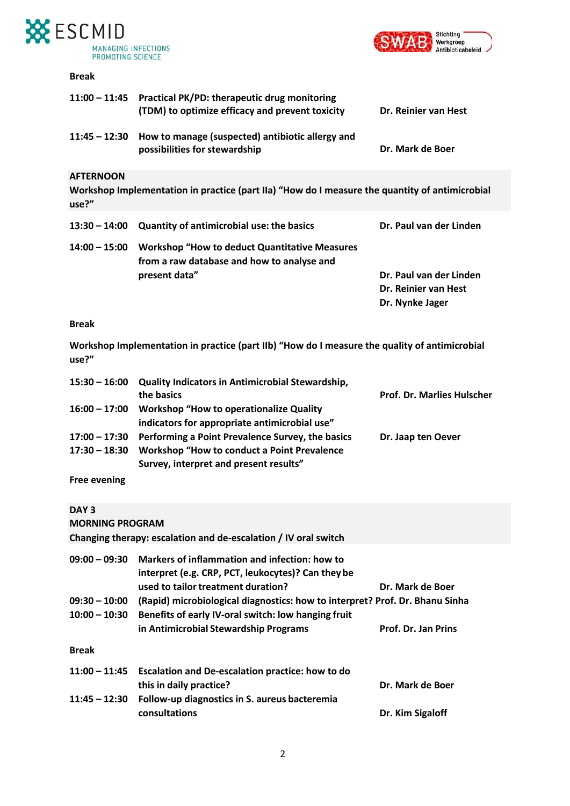



### **Break**

|                           | 11:00 - 11:45 Practical PK/PD: therapeutic drug monitoring<br>(TDM) to optimize efficacy and prevent toxicity | Dr. Reinier van Hest    |
|---------------------------|---------------------------------------------------------------------------------------------------------------|-------------------------|
| $11:45 - 12:30$           | How to manage (suspected) antibiotic allergy and<br>possibilities for stewardship                             | Dr. Mark de Boer        |
| <b>AFTERNOON</b><br>use?" | Workshop Implementation in practice (part IIa) "How do I measure the quantity of antimicrobial                |                         |
| $13:30 - 14:00$           | <b>Quantity of antimicrobial use: the basics</b>                                                              | Dr. Paul van der Linden |
| $14:00 - 15:00$           | <b>Workshop "How to deduct Quantitative Measures</b><br>from a raw database and how to analyse and            |                         |
|                           | present data"                                                                                                 | Dr. Paul van der Linden |
|                           |                                                                                                               | Dr. Reinier van Hest    |
|                           |                                                                                                               | Dr. Nynke Jager         |

### **Break**

**Workshop Implementation in practice (part IIb) "How do I measure the quality of antimicrobial use?"**

|                     | 15:30 - 16:00 Quality Indicators in Antimicrobial Stewardship, |                                   |  |
|---------------------|----------------------------------------------------------------|-----------------------------------|--|
|                     | the basics                                                     | <b>Prof. Dr. Marlies Hulscher</b> |  |
| $16:00 - 17:00$     | <b>Workshop "How to operationalize Quality"</b>                |                                   |  |
|                     | indicators for appropriate antimicrobial use"                  |                                   |  |
| $17:00 - 17:30$     | Performing a Point Prevalence Survey, the basics               | Dr. Jaap ten Oever                |  |
| $17:30 - 18:30$     | <b>Workshop "How to conduct a Point Prevalence</b>             |                                   |  |
|                     | Survey, interpret and present results"                         |                                   |  |
| <b>Free evening</b> |                                                                |                                   |  |

# **DAY 3**

| <b>MORNING PROGRAM</b>                                                 |                                                                                                                                           |                     |
|------------------------------------------------------------------------|-------------------------------------------------------------------------------------------------------------------------------------------|---------------------|
|                                                                        | Changing therapy: escalation and de-escalation / IV oral switch                                                                           |                     |
| $09:00 - 09:30$                                                        | Markers of inflammation and infection: how to<br>interpret (e.g. CRP, PCT, leukocytes)? Can they be<br>used to tailor treatment duration? | Dr. Mark de Boer    |
| $09:30 - 10:00$                                                        | (Rapid) microbiological diagnostics: how to interpret? Prof. Dr. Bhanu Sinha                                                              |                     |
| Benefits of early IV-oral switch: low hanging fruit<br>$10:00 - 10:30$ |                                                                                                                                           |                     |
|                                                                        | in Antimicrobial Stewardship Programs                                                                                                     | Prof. Dr. Jan Prins |
| <b>Break</b>                                                           |                                                                                                                                           |                     |
| $11:00 - 11:45$                                                        | Escalation and De-escalation practice: how to do                                                                                          |                     |
|                                                                        | this in daily practice?                                                                                                                   | Dr. Mark de Boer    |
| $11:45 - 12:30$                                                        | Follow-up diagnostics in S. aureus bacteremia                                                                                             |                     |
|                                                                        | consultations                                                                                                                             | Dr. Kim Sigaloff    |